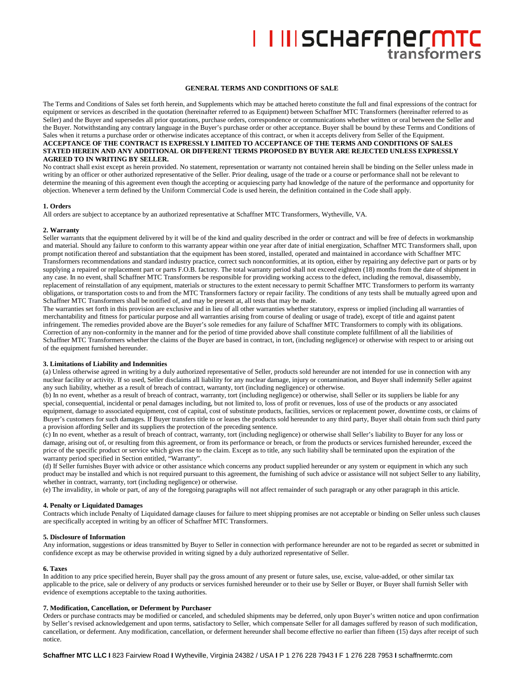# I IIISCHAFFNECMTC

# **GENERAL TERMS AND CONDITIONS OF SALE**

The Terms and Conditions of Sales set forth herein, and Supplements which may be attached hereto constitute the full and final expressions of the contract for equipment or services as described in the quotation (hereinafter referred to as Equipment) between Schaffner MTC Transformers (hereinafter referred to as Seller) and the Buyer and supersedes all prior quotations, purchase orders, correspondence or communications whether written or oral between the Seller and the Buyer. Notwithstanding any contrary language in the Buyer's purchase order or other acceptance. Buyer shall be bound by these Terms and Conditions of Sales when it returns a purchase order or otherwise indicates acceptance of this contract, or when it accepts delivery from Seller of the Equipment. **ACCEPTANCE OF THE CONTRACT IS EXPRESSLY LIMITED TO ACCEPTANCE OF THE TERMS AND CONDITIONS OF SALES STATED HEREIN AND ANY ADDITIONAL OR DIFFERENT TERMS PROPOSED BY BUYER ARE REJECTED UNLESS EXPRESSLY AGREED TO IN WRITING BY SELLER.**

No contract shall exist except as herein provided. No statement, representation or warranty not contained herein shall be binding on the Seller unless made in writing by an officer or other authorized representative of the Seller. Prior dealing, usage of the trade or a course or performance shall not be relevant to determine the meaning of this agreement even though the accepting or acquiescing party had knowledge of the nature of the performance and opportunity for objection. Whenever a term defined by the Uniform Commercial Code is used herein, the definition contained in the Code shall apply.

## **1. Orders**

All orders are subject to acceptance by an authorized representative at Schaffner MTC Transformers, Wytheville, VA.

# **2. Warranty**

Seller warrants that the equipment delivered by it will be of the kind and quality described in the order or contract and will be free of defects in workmanship and material. Should any failure to conform to this warranty appear within one year after date of initial energization, Schaffner MTC Transformers shall, upon prompt notification thereof and substantiation that the equipment has been stored, installed, operated and maintained in accordance with Schaffner MTC Transformers recommendations and standard industry practice, correct such nonconformities, at its option, either by repairing any defective part or parts or by supplying a repaired or replacement part or parts F.O.B. factory. The total warranty period shall not exceed eighteen (18) months from the date of shipment in any case. In no event, shall Schaffner MTC Transformers be responsible for providing working access to the defect, including the removal, disassembly, replacement of reinstallation of any equipment, materials or structures to the extent necessary to permit Schaffner MTC Transformers to perform its warranty obligations, or transportation costs to and from the MTC Transformers factory or repair facility. The conditions of any tests shall be mutually agreed upon and Schaffner MTC Transformers shall be notified of, and may be present at, all tests that may be made.

The warranties set forth in this provision are exclusive and in lieu of all other warranties whether statutory, express or implied (including all warranties of merchantability and fitness for particular purpose and all warranties arising from course of dealing or usage of trade), except of title and against patent infringement. The remedies provided above are the Buyer's sole remedies for any failure of Schaffner MTC Transformers to comply with its obligations. Correction of any non-conformity in the manner and for the period of time provided above shall constitute complete fulfillment of all the liabilities of Schaffner MTC Transformers whether the claims of the Buyer are based in contract, in tort, (including negligence) or otherwise with respect to or arising out of the equipment furnished hereunder.

# **3. Limitations of Liability and Indemnities**

(a) Unless otherwise agreed in writing by a duly authorized representative of Seller, products sold hereunder are not intended for use in connection with any nuclear facility or activity. If so used, Seller disclaims all liability for any nuclear damage, injury or contamination, and Buyer shall indemnify Seller against any such liability, whether as a result of breach of contract, warranty, tort (including negligence) or otherwise.

(b) In no event, whether as a result of breach of contract, warranty, tort (including negligence) or otherwise, shall Seller or its suppliers be liable for any special, consequential, incidental or penal damages including, but not limited to, loss of profit or revenues, loss of use of the products or any associated equipment, damage to associated equipment, cost of capital, cost of substitute products, facilities, services or replacement power, downtime costs, or claims of Buyer's customers for such damages. If Buyer transfers title to or leases the products sold hereunder to any third party, Buyer shall obtain from such third party a provision affording Seller and its suppliers the protection of the preceding sentence.

(c) In no event, whether as a result of breach of contract, warranty, tort (including negligence) or otherwise shall Seller's liability to Buyer for any loss or damage, arising out of, or resulting from this agreement, or from its performance or breach, or from the products or services furnished hereunder, exceed the price of the specific product or service which gives rise to the claim. Except as to title, any such liability shall be terminated upon the expiration of the warranty period specified in Section entitled, "Warranty".

(d) If Seller furnishes Buyer with advice or other assistance which concerns any product supplied hereunder or any system or equipment in which any such product may be installed and which is not required pursuant to this agreement, the furnishing of such advice or assistance will not subject Seller to any liability, whether in contract, warranty, tort (including negligence) or otherwise.

(e) The invalidity, in whole or part, of any of the foregoing paragraphs will not affect remainder of such paragraph or any other paragraph in this article.

## **4. Penalty or Liquidated Damages**

Contracts which include Penalty of Liquidated damage clauses for failure to meet shipping promises are not acceptable or binding on Seller unless such clauses are specifically accepted in writing by an officer of Schaffner MTC Transformers.

## **5. Disclosure of Information**

Any information, suggestions or ideas transmitted by Buyer to Seller in connection with performance hereunder are not to be regarded as secret or submitted in confidence except as may be otherwise provided in writing signed by a duly authorized representative of Seller.

## **6. Taxes**

In addition to any price specified herein, Buyer shall pay the gross amount of any present or future sales, use, excise, value-added, or other similar tax applicable to the price, sale or delivery of any products or services furnished hereunder or to their use by Seller or Buyer, or Buyer shall furnish Seller with evidence of exemptions acceptable to the taxing authorities.

## **7. Modification, Cancellation, or Deferment by Purchaser**

Orders or purchase contracts may be modified or canceled, and scheduled shipments may be deferred, only upon Buyer's written notice and upon confirmation by Seller's revised acknowledgement and upon terms, satisfactory to Seller, which compensate Seller for all damages suffered by reason of such modification, cancellation, or deferment. Any modification, cancellation, or deferment hereunder shall become effective no earlier than fifteen (15) days after receipt of such notice.

**Schaffner MTC LLC I** 823 Fairview Road **I** Wytheville, Virginia 24382 / USA **I** P 1 276 228 7943 **I** F 1 276 228 7953 **I** schaffnermtc.com